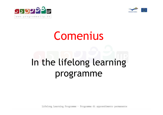



# Comenius

# In the lifelong learning programme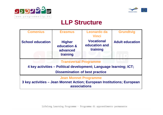



#### **LLP Structure**

| <b>Comenius</b>                                                                                                                            | <b>Erasmus</b>                                       | Leonardo da<br><b>Vinci</b>                    | <b>Grundtvig</b>       |
|--------------------------------------------------------------------------------------------------------------------------------------------|------------------------------------------------------|------------------------------------------------|------------------------|
| <b>School education</b>                                                                                                                    | <b>Higher</b><br>education &<br>advanced<br>training | <b>Vocational</b><br>education and<br>training | <b>Adult education</b> |
| <b>Transversal Programme</b><br>4 key activities – Political development; Language learning; ICT;<br><b>Dissemination of best practice</b> |                                                      |                                                |                        |
| <b>Jean Monnet Programme</b><br>3 key activities – Jean Monnet Action; European Institutions; European<br><b>associations</b>              |                                                      |                                                |                        |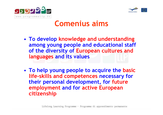



### Comenius aims

- • To develop knowledge and understanding among young people and educational staff of the diversity of European cultures and languages and its values
- •• To help young people to acquire the basic life-skills and competences necessary for their personal development, for futureemployment and for active European citizenship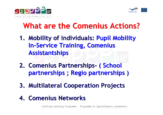



# What are the Comenius Actions?

- 1. Mobility of individuals: Pupil Mobility 1. Mobility of individuals: Pupil Mobility **In-Service Training, Comenius** Assistantships
- 2. Comenius Partnerships- ( School 2. Comenius Partnerships- ( School partnerships ; Regio partnerships ) partnerships ; Regio partnerships )
- 3. Multilateral Cooperation Projects 3. Multilateral Cooperation Projects
- 4. Comenius Networks 4. Comenius Networks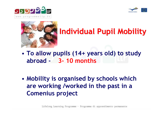





# Individual Pupil Mobility

- • To allow pupils (14+ years old) to studyabroad - 3- 10 months
- •• Mobility is organised by schools which are working /worked in the past in a Comenius project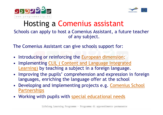



#### Schools can apply to host a Comenius Assistant, a future teacher of any subject. Hosting a Comenius assistant

The Comenius Assistant can give schools support for:

- Introducing or reinforcing the <u>European dimension</u>;
- • Implementing CLIL ( Content and Language IntegratedLearning) by teaching a subject in a foreign language.
- Improving the pupils' comprehension and expression in foreignlanguages, enriching the language offer at the school
- Developing and implementing projects e.g. Comenius School **Partnerships**
- Working with pupils with special educational needs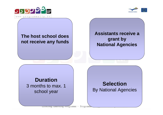



#### **The host school does not receive any funds**

**Assistants receive a grant by National Agencies**

#### **Duration**

 3 months to max. 1 school year

#### **Selection**By National Agencies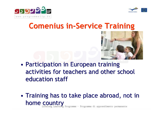



### Comenius in-Service Training



- • Participation in European training activities for teachers and other school education staff
- • Training has to take place abroad, not in home country<br>Realisting Learning Programme - Programma di apprendimento permanente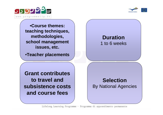



•**Course themes: teaching techniques, methodologies, school management issues, etc.**

•**Teacher placements**

**Duration**1 to 6 weeks

**Grant contributes to travel and subsistence costs and course fees**

**Selection**By National Agencies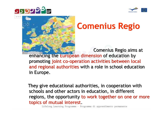





# Comenius Regio

Comenius Regio aims at Comenius Regio aims at enhancing the European dimension of education by enhancing the European dimension of education by promoting joint co-operation activities between local promoting joint co-operation activities between local and regional authorities with a role in school education and regional authorities with a role in school education in Europe.

They give educational authorities, in cooperation with schools and other actors in education, in different regions, the opportunity to work together on one or more topics of mutual interest.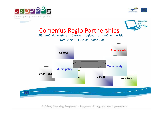



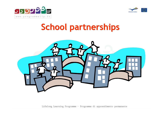



# School partnerships

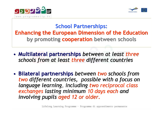



#### School Partnerships:Enhancing the European Dimension of the Educationby promoting cooperation between schools

- • Multilateral partnerships between at least threeschools from at least three different countries schools from at least three different countries •Multilateral partnerships between at least three
- •• Bilateral partnerships between two schools from two different countries, possible with a focus on two different countries, possible with a focus on language learning, including two reciprocal class language learning, including two reciprocal class exchanges lasting minimum 10 days each and exchanges lasting minimum 10 days each and involving pupils aged 12 or older. involving pupils aged 12 or older. •• Bilateral partnerships between two schools from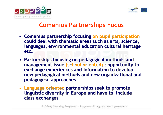



#### Comenius Partnerships Focus

- Comenius partnership focusing on pupil participation could deal with thematic areas such as arts, science, could deal with thematic areas such as arts, science, languages, environmental education cultural heritage languages, environmental education cultural heritage etc…
- Partnerships focusing on pedagogical methods and Partnerships focusing on pedagogical methods and management issue (school oriented) : opportunity to management issue (school oriented) : opportunity to exchange experiences and information to develop new pedagogical methods and new organizational and new pedagogical methods and new organizational and pedagogical approaches
- Language oriented partnerships seek to promote Language oriented partnerships seek to promote linguistic diversity in Europe and have to include class exchanges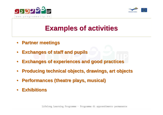



### **Examples of activities**

- • **Partner meetings Partner meetings** $\bullet$
- $\bullet$ **Exchanges of staff and pupils Exchanges of staff and pupils**
- $\bullet$ **Exchanges of experiences and good practices Exchanges of experiences and good practices**
- • **Producing technical objects, drawings, art objects Producing technical objects, drawings, art objects**•
- • **Performances (theatre plays, musical) Performances (theatre plays, musical)**  $\bullet$
- **Exhibitions Exhibitions**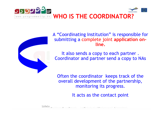



A "Coordinating Institution" is responsible for submitting a complete joint application online.

It also sends a copy to each partner . Coordinator and partner send a copy to NAs

Often the coordinator keeps track of the overall development of the partnership, monitoring its progress.

It acts as the contact point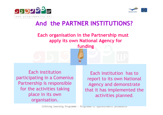



Each organisation in the Partnership must apply its own National Agency for funding And the PARTNER INSTITUTIONS?<br>
Each organisation in the Partnership must<br>
apply its own National Agency for<br>
funding<br>
ting<br>
the miss of the Each institution has<br>
the institution<br>
the fack institution has<br>
report to its own

Each institution participating in a Comenius Partnership is responsible for the activities taking place in its own organisation.

Each institution has to report to its own National Agency and demonstrate that it has implemented the activities planned.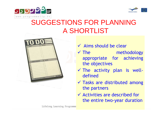



## SUGGESTIONS FOR PLANNINGA SHORTLIST



 Tasks are distributed among the partners

defined

 Activities are described for the entire two-year duration

**√** The methodology

The activity plan is well-

appropriate for achieving

 $\checkmark$  Aims should be clear

 $\checkmark$  The strategies of  $\checkmark$ 

the objectives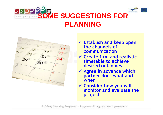

#### **SD 921 SOME SUGGESTIONS FOR PLANNING**



- $\checkmark$  Establish and keep open<br>the channels of the channels of communication
- **✓ Create firm and realistic**<br>timetable to achieve timetable to achieve desired outcomes
- $\sqrt{2}$  Agree in advance which nartner does what and partner does what and when
- Consider how you will monitor and evaluate the project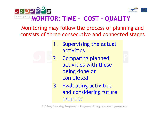



### **MONITOR: TIME - COST - QUALITY**

Monitoring may follow the process of planning and consists of three consecutive and connected stages

- 1. Supervising the actual activities
- 2. Comparing planned activities with those being done or completed
- 3. Evaluating activities and considering future projects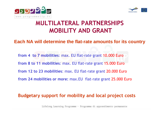



#### MULTILATERAL PARTNERSHIPSMOBILITY AND GRANT

#### **Each NA will determine the flat-rate amounts for its country**

from 4 to 7 mobilities: max. EU flat-rate grant 10.000 Eurofrom 8 to 11 mobilities: max. EU flat-rate grant 15.000 Eurofrom 12 to 23 mobilities: max. EU flat-rate grant 20.000 Eurofrom 24 mobilities or more: max.EU flat-rate grant 25.000 Euro

#### Budgetary support for mobility and local project costs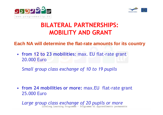



#### BILATERAL PARTNERSHIPS:MOBILITY AND GRANT

#### **Each NA will determine the flat-rate amounts for its country**

• from 12 to 23 mobilities: max. EU flat-rate grant 20.000 Euro

Small group class exchange of 10 to 19 pupils

• from 24 mobilities or more: max.EU flat-rate grant 25.000 Euro

Large group class exchange of 20 pupils or more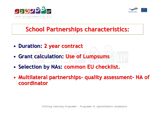



#### School Partnerships characteristics**:**

- •• Duration: 2 year contract Duration: 2 year contract
- • Grant calculation: Use of Lumpsums •Grant calculation: Use of Lumpsums
- •• Selection by NAs: common EU checklist. •• Selection by NAs: common EU checklist.
- •• Multilateral partnerships- quality assessment- NA of coordinator •Multilateral partnerships- quality assessment- NA of